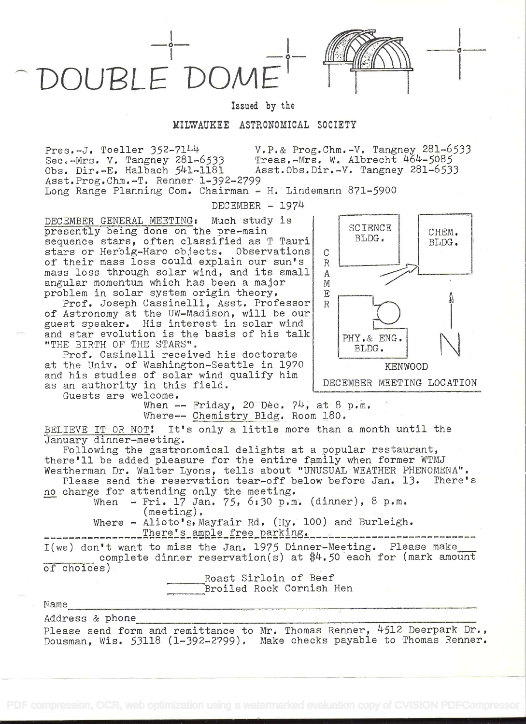OUBLE DON

Issued by the

## MILWAUKEE ASTRONOMICAL SOCIETY

Pres.-J. Toeller 352-7144 V.P.& Prog.Chm.-V. Tangney 281-6533 Treas.-Mrs. W. Albrecht 464-5085<sup>1</sup><br>Asst.Obs.Dir.-V. Tangney 281-6533 Sec.-Mrs. V. Tangney 281-6533<br>Obs. Dir.-E. Halbach 541-1181 Asst. Prog. Chm. -T. Renner 1-392-2799 Long Range Planning Com. Chairman - H. Lindemann 871-5900

 $DECEMENT - 1974$ 

DECEMBER GENERAL MEETING: Much study is presently being done on the pre-main sequence stars, often classified as T Tauri stars or Herbig-Haro objects. Observations c<br>of their mass loss could explain our sun's R of their mass loss could explain our sun's mass loss through solar wind, and its small | A angular momentum which has been a major  $\begin{array}{c} \mathbb{M} \\ \mathbb{M} \end{array}$ problem in solar system origin theory.

Prof. Joseph Cassinelli, Asst. Professor R of Astronomy at the UW-Madison, will be our guest speaker. His interest in solar wind and star evolution is the basis of his talk "THE BIRTH OF THE STARS".

Prof. Casinelli received his doctorate at the Univ. of Washington-Seattle in 1970 and his studies of solar wind qualify him as an authority in this field.

Guests are welcome.

when -- Friday, 20 Dec. 74, at 8 p.m. Where-- Chemistry Bldg. Room 180.

BELIEVE IT OR NOT! It's only a little more than a month until the January dinner-meeting.

Following the gastronomical delights at a popular restaurant, there'll be added pleasure for the entire family when former WTMJ Weatherman Dr. Walter Lyons, tells about "UNUSUAL WEATHER PHENOMENA".<br>Please send the reservation tear-off below before Jan. 13. There's

Please send the reservation tear-off below before Jan.  $13.$ no charge for attending only the meeting.

When - Fri. 17 Jan. 75, 6:30 p.m. (dinner), 8 p.m. (meeting).

Where - Alioto's, Mayfair Rd. (Hy. 100) and Burleigh. 1e ----------

I(we) don't want to miss the Jan. 1975 Dinner-Meeting. Please make complete dinner reservation(s) at  $*4.50$  each for (mark amount of choices)

> Roast Sirloin of Beef Broiled Rock Cornish Hen

Name

Address & phone

Please send form and remittance to Mr. Thomas Renner, 4512 Deerpark Dr., Dousman, Wis. 53118 (l-392-2799). Make checks payable to Thomas Renner.



o